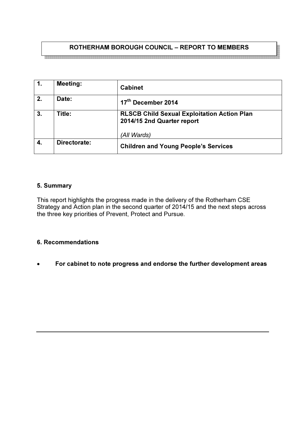# ROTHERHAM BOROUGH COUNCIL – REPORT TO MEMBERS

| $\mathbf 1$ .    | <b>Meeting:</b> | <b>Cabinet</b>                                                                   |
|------------------|-----------------|----------------------------------------------------------------------------------|
| $\overline{2}$ . | Date:           | 17 <sup>th</sup> December 2014                                                   |
| 3.               | Title:          | <b>RLSCB Child Sexual Exploitation Action Plan</b><br>2014/15 2nd Quarter report |
|                  |                 | (All Wards)                                                                      |
| 4.               | Directorate:    | <b>Children and Young People's Services</b>                                      |

## 5. Summary

This report highlights the progress made in the delivery of the Rotherham CSE Strategy and Action plan in the second quarter of 2014/15 and the next steps across the three key priorities of Prevent, Protect and Pursue.

#### 6. Recommendations

• For cabinet to note progress and endorse the further development areas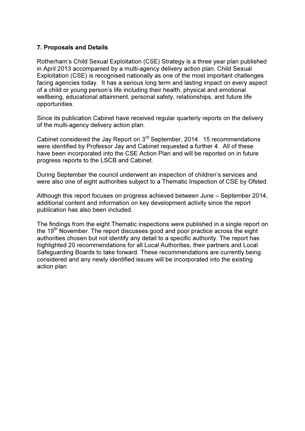#### 7. Proposals and Details

Rotherham's Child Sexual Exploitation (CSE) Strategy is a three year plan published in April 2013 accompanied by a multi-agency delivery action plan. Child Sexual Exploitation (CSE) is recognised nationally as one of the most important challenges facing agencies today. It has a serious long term and lasting impact on every aspect of a child or young person's life including their health, physical and emotional wellbeing, educational attainment, personal safety, relationships, and future life opportunities.

Since its publication Cabinet have received regular quarterly reports on the delivery of the multi-agency delivery action plan.

Cabinet considered the Jay Report on 3rd September, 2014. 15 recommendations were identified by Professor Jay and Cabinet requested a further 4. All of these have been incorporated into the CSE Action Plan and will be reported on in future progress reports to the LSCB and Cabinet.

During September the council underwent an inspection of children's services and were also one of eight authorities subject to a Thematic Inspection of CSE by Ofsted.

Although this report focuses on progress achieved between June – September 2014, additional content and information on key development activity since the report publication has also been included.

The findings from the eight Thematic inspections were published in a single report on the  $19<sup>th</sup>$  November. The report discusses good and poor practice across the eight authorities chosen but not identify any detail to a specific authority. The report has highlighted 20 recommendations for all Local Authorities, their partners and Local Safeguarding Boards to take forward. These recommendations are currently being considered and any newly identified issues will be incorporated into the existing action plan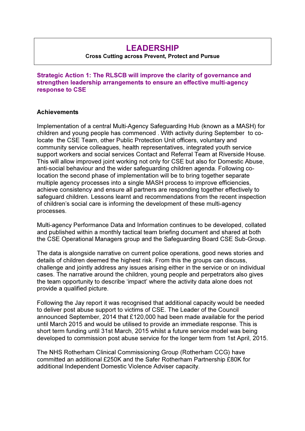# LEADERSHIP

#### Cross Cutting across Prevent, Protect and Pursue

Strategic Action 1: The RLSCB will improve the clarity of governance and strengthen leadership arrangements to ensure an effective multi-agency response to CSE

#### **Achievements**

Implementation of a central Multi-Agency Safeguarding Hub (known as a MASH) for children and young people has commenced . With activity during September to colocate the CSE Team, other Public Protection Unit officers, voluntary and community service colleagues, health representatives, integrated youth service support workers and social services Contact and Referral Team at Riverside House. This will allow improved joint working not only for CSE but also for Domestic Abuse, anti-social behaviour and the wider safeguarding children agenda. Following colocation the second phase of implementation will be to bring together separate multiple agency processes into a single MASH process to improve efficiencies, achieve consistency and ensure all partners are responding together effectively to safeguard children. Lessons learnt and recommendations from the recent inspection of children's social care is informing the development of these multi-agency processes.

Multi-agency Performance Data and Information continues to be developed, collated and published within a monthly tactical team briefing document and shared at both the CSE Operational Managers group and the Safeguarding Board CSE Sub-Group.

The data is alongside narrative on current police operations, good news stories and details of children deemed the highest risk. From this the groups can discuss, challenge and jointly address any issues arising either in the service or on individual cases. The narrative around the children, young people and perpetrators also gives the team opportunity to describe 'impact' where the activity data alone does not provide a qualified picture.

Following the Jay report it was recognised that additional capacity would be needed to deliver post abuse support to victims of CSE. The Leader of the Council announced September, 2014 that £120,000 had been made available for the period until March 2015 and would be utilised to provide an immediate response. This is short term funding until 31st March, 2015 whilst a future service model was being developed to commission post abuse service for the longer term from 1st April, 2015.

The NHS Rotherham Clinical Commissioning Group (Rotherham CCG) have committed an additional £250K and the Safer Rotherham Partnership £80K for additional Independent Domestic Violence Adviser capacity.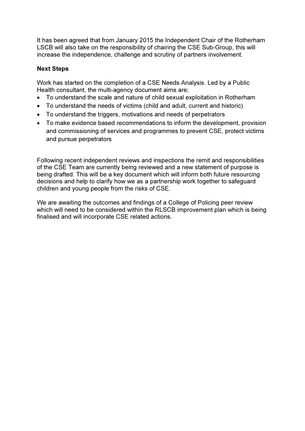It has been agreed that from January 2015 the Independent Chair of the Rotherham LSCB will also take on the responsibility of chairing the CSE Sub-Group, this will increase the independence, challenge and scrutiny of partners involvement.

# Next Steps

Work has started on the completion of a CSE Needs Analysis. Led by a Public Health consultant, the multi-agency document aims are;

- To understand the scale and nature of child sexual exploitation in Rotherham
- To understand the needs of victims (child and adult, current and historic)
- To understand the triggers, motivations and needs of perpetrators
- To make evidence based recommendations to inform the development, provision and commissioning of services and programmes to prevent CSE, protect victims and pursue perpetrators

Following recent independent reviews and inspections the remit and responsibilities of the CSE Team are currently being reviewed and a new statement of purpose is being drafted. This will be a key document which will inform both future resourcing decisions and help to clarify how we as a partnership work together to safeguard children and young people from the risks of CSE.

We are awaiting the outcomes and findings of a College of Policing peer review which will need to be considered within the RLSCB improvement plan which is being finalised and will incorporate CSE related actions.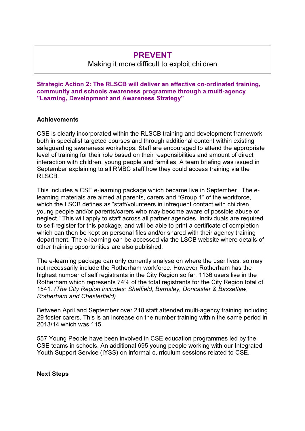# PREVENT

Making it more difficult to exploit children

Strategic Action 2: The RLSCB will deliver an effective co-ordinated training, community and schools awareness programme through a multi-agency "Learning, Development and Awareness Strategy"

#### **Achievements**

CSE is clearly incorporated within the RLSCB training and development framework both in specialist targeted courses and through additional content within existing safeguarding awareness workshops. Staff are encouraged to attend the appropriate level of training for their role based on their responsibilities and amount of direct interaction with children, young people and families. A team briefing was issued in September explaining to all RMBC staff how they could access training via the RLSCB.

This includes a CSE e-learning package which became live in September. The elearning materials are aimed at parents, carers and "Group 1" of the workforce, which the LSCB defines as "staff/volunteers in infrequent contact with children, young people and/or parents/carers who may become aware of possible abuse or neglect." This will apply to staff across all partner agencies. Individuals are required to self-register for this package, and will be able to print a certificate of completion which can then be kept on personal files and/or shared with their agency training department. The e-learning can be accessed via the LSCB website where details of other training opportunities are also published.

The e-learning package can only currently analyse on where the user lives, so may not necessarily include the Rotherham workforce. However Rotherham has the highest number of self registrants in the City Region so far. 1136 users live in the Rotherham which represents 74% of the total registrants for the City Region total of 1541. (The City Region includes; Sheffield, Barnsley, Doncaster & Bassetlaw, Rotherham and Chesterfield).

Between April and September over 218 staff attended multi-agency training including 29 foster carers. This is an increase on the number training within the same period in 2013/14 which was 115.

557 Young People have been involved in CSE education programmes led by the CSE teams in schools. An additional 695 young people working with our Integrated Youth Support Service (IYSS) on informal curriculum sessions related to CSE.

Next Steps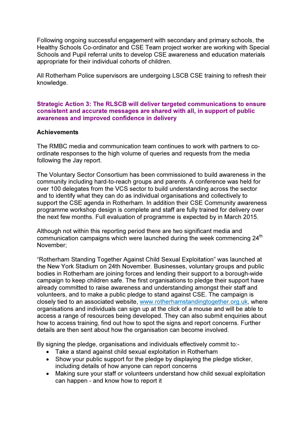Following ongoing successful engagement with secondary and primary schools, the Healthy Schools Co-ordinator and CSE Team project worker are working with Special Schools and Pupil referral units to develop CSE awareness and education materials appropriate for their individual cohorts of children.

All Rotherham Police supervisors are undergoing LSCB CSE training to refresh their knowledge.

Strategic Action 3: The RLSCB will deliver targeted communications to ensure consistent and accurate messages are shared with all, in support of public awareness and improved confidence in delivery

#### **Achievements**

The RMBC media and communication team continues to work with partners to coordinate responses to the high volume of queries and requests from the media following the Jay report.

The Voluntary Sector Consortium has been commissioned to build awareness in the community including hard-to-reach groups and parents. A conference was held for over 100 delegates from the VCS sector to build understanding across the sector and to identify what they can do as individual organisations and collectively to support the CSE agenda in Rotherham. In addition their CSE Community awareness programme workshop design is complete and staff are fully trained for delivery over the next few months. Full evaluation of programme is expected by in March 2015.

Although not within this reporting period there are two significant media and communication campaigns which were launched during the week commencing 24<sup>th</sup> November;

"Rotherham Standing Together Against Child Sexual Exploitation" was launched at the New York Stadium on 24th November. Businesses, voluntary groups and public bodies in Rotherham are joining forces and lending their support to a borough-wide campaign to keep children safe. The first organisations to pledge their support have already committed to raise awareness and understanding amongst their staff and volunteers, and to make a public pledge to stand against CSE. The campaign is closely tied to an associated website, www.rotherhamstandingtogether.org.uk, where organisations and individuals can sign up at the click of a mouse and will be able to access a range of resources being developed. They can also submit enquiries about how to access training, find out how to spot the signs and report concerns. Further details are then sent about how the organisation can become involved.

By signing the pledge, organisations and individuals effectively commit to:-

- Take a stand against child sexual exploitation in Rotherham
- Show your public support for the pledge by displaying the pledge sticker, including details of how anyone can report concerns
- Making sure your staff or volunteers understand how child sexual exploitation can happen - and know how to report it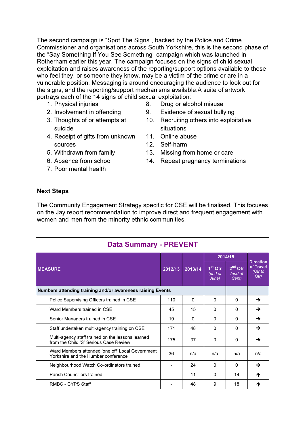The second campaign is "Spot The Signs", backed by the Police and Crime Commissioner and organisations across South Yorkshire, this is the second phase of the "Say Something If You See Something" campaign which was launched in Rotherham earlier this year. The campaign focuses on the signs of child sexual exploitation and raises awareness of the reporting/support options available to those who feel they, or someone they know, may be a victim of the crime or are in a vulnerable position. Messaging is around encouraging the audience to look out for the signs, and the reporting/support mechanisms available.A suite of artwork portrays each of the 14 signs of child sexual exploitation:

- 1. Physical injuries
- 2. Involvement in offending
- 3. Thoughts of or attempts at suicide
- 4. Receipt of gifts from unknown sources
- 5. Withdrawn from family
- 6. Absence from school
- 7. Poor mental health
- 8. Drug or alcohol misuse
- 9. Evidence of sexual bullying
- 10. Recruiting others into exploitative situations
- 11. Online abuse
- 12. Self-harm
- 13. Missing from home or care
- 14. Repeat pregnancy terminations

#### Next Steps

The Community Engagement Strategy specific for CSE will be finalised. This focuses on the Jay report recommendation to improve direct and frequent engagement with women and men from the minority ethnic communities.

| <b>Data Summary - PREVENT</b>                                                               |     |          |                               |                                                   |                                                  |
|---------------------------------------------------------------------------------------------|-----|----------|-------------------------------|---------------------------------------------------|--------------------------------------------------|
|                                                                                             |     |          | 2014/15                       |                                                   | <b>Direction</b><br>of Travel<br>(Qtr to<br>Qtr) |
| <b>MEASURE</b>                                                                              |     | 2013/14  | $1st$ Qtr<br>(end of<br>June) | $2nd$ Qtr<br>$\overline{(end \space of}$<br>Sept) |                                                  |
| Numbers attending training and/or awareness raising Events                                  |     |          |                               |                                                   |                                                  |
| Police Supervising Officers trained in CSE                                                  | 110 | $\Omega$ | $\Omega$                      | $\Omega$                                          | →                                                |
| Ward Members trained in CSE                                                                 | 45  | 15       | $\Omega$                      | 0                                                 | →                                                |
| Senior Managers trained in CSE                                                              | 19  | 0        | $\Omega$                      | $\Omega$                                          | →                                                |
| Staff undertaken multi-agency training on CSE                                               | 171 | 48       | $\Omega$                      | <sup>0</sup>                                      | →                                                |
| Multi-agency staff trained on the lessons learned<br>from the Child 'S' Serious Case Review | 175 | 37       | $\Omega$                      | $\Omega$                                          | →                                                |
| Ward Members attended 'one off' Local Government<br>Yorkshire and the Humber conference     | 36  | n/a      | n/a                           | n/a                                               | n/a                                              |
| Neighbourhood Watch Co-ordinators trained                                                   |     | 24       | $\Omega$                      | $\Omega$                                          | →                                                |
| Parish Councillors trained                                                                  |     | 11       | $\Omega$                      | 14                                                | ₼                                                |
| RMBC - CYPS Staff                                                                           |     | 48       | 9                             | 18                                                | Ϋ                                                |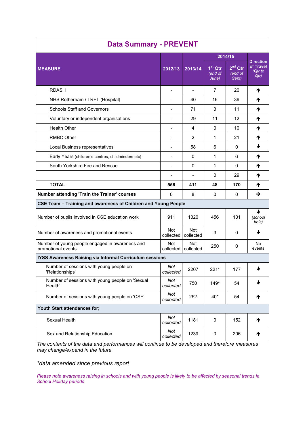| <b>Data Summary - PREVENT</b>                                         |                  |                         |                                             |                                       |                                                   |
|-----------------------------------------------------------------------|------------------|-------------------------|---------------------------------------------|---------------------------------------|---------------------------------------------------|
|                                                                       |                  |                         |                                             | 2014/15                               |                                                   |
| <b>MEASURE</b>                                                        | 2012/13          | 2013/14                 | $1st$ Qtr<br>$\overline{(end of)}$<br>June) | $2nd$ Qtr<br>$\sqrt{end}$ of<br>Sept) | <b>Direction</b><br>of Travel<br>$Qtr$ to<br>Qtr) |
| <b>RDASH</b>                                                          |                  |                         | 7                                           | 20                                    | ₼                                                 |
| NHS Rotherham / TRFT (Hospital)                                       |                  | 40                      | 16                                          | 39                                    | ᠰ                                                 |
| <b>Schools Staff and Governors</b>                                    |                  | 71                      | 3                                           | 11                                    | ᠰ                                                 |
| Voluntary or independent organisations                                | $\overline{a}$   | 29                      | 11                                          | 12                                    | ₼                                                 |
| <b>Health Other</b>                                                   | $\overline{a}$   | 4                       | 0                                           | 10                                    | ₼                                                 |
| <b>RMBC Other</b>                                                     | $\overline{a}$   | $\overline{2}$          | 1                                           | 21                                    | ₼                                                 |
| Local Business representatives                                        |                  | 58                      | 6                                           | 0                                     | ↓                                                 |
| Early Years (children's centres, childminders etc)                    |                  | 0                       | 1                                           | 6                                     | ₼                                                 |
| South Yorkshire Fire and Rescue                                       |                  | 0                       | 1                                           | 0                                     | ᠰ                                                 |
|                                                                       |                  |                         | 0                                           | 29                                    | ᠰ                                                 |
| <b>TOTAL</b>                                                          | 556              | 411                     | 48                                          | 170                                   | ₼                                                 |
| Number attending 'Train the Trainer' courses                          | 0                | 8                       | 0                                           | 0                                     | →                                                 |
| CSE Team - Training and awareness of Children and Young People        |                  |                         |                                             |                                       |                                                   |
| Number of pupils involved in CSE education work                       | 911              | 1320                    | 456                                         | 101                                   | J<br>(school<br>hols)                             |
| Number of awareness and promotional events                            | Not<br>collected | <b>Not</b><br>collected | 3                                           | 0                                     | ↓                                                 |
| Number of young people engaged in awareness and<br>promotional events | Not<br>collected | Not<br>collected        | 250                                         | 0                                     | No<br>events                                      |
| IYSS Awareness Raising via Informal Curriculum sessions               |                  |                         |                                             |                                       |                                                   |
| Number of sessions with young people on<br>'Relationships'            | Not<br>collected | 2207                    | $221*$                                      | 177                                   | ↓                                                 |
| Number of sessions with young people on 'Sexual<br>Health'            | Not<br>collected | 750                     | $149*$                                      | 54                                    | ↓                                                 |
| Number of sessions with young people on 'CSE'                         | Not<br>collected | 252                     | $40*$                                       | 54                                    | ↑                                                 |
| Youth Start attendances for;                                          |                  |                         |                                             |                                       |                                                   |
| Sexual Health                                                         | Not<br>collected | 1181                    | 0                                           | 152                                   | ↑                                                 |
| Sex and Relationship Education                                        | Not<br>collected | 1239                    | 0                                           | 206                                   | ↑                                                 |

The contents of the data and performances will continue to be developed and therefore measures may change/expand in the future.

\*data amended since previous report

Please note awareness raising in schools and with young people is likely to be affected by seasonal trends ie School Holiday periods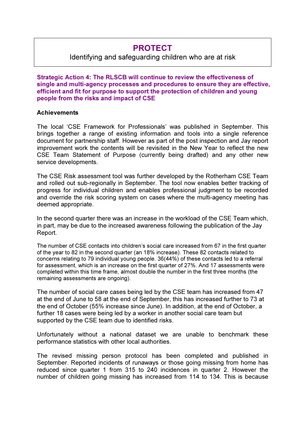# PROTECT

# Identifying and safeguarding children who are at risk

Strategic Action 4: The RLSCB will continue to review the effectiveness of single and multi-agency processes and procedures to ensure they are effective, efficient and fit for purpose to support the protection of children and young people from the risks and impact of CSE

#### **Achievements**

The local 'CSE Framework for Professionals' was published in September. This brings together a range of existing information and tools into a single reference document for partnership staff. However as part of the post inspection and Jay report improvement work the contents will be revisited in the New Year to reflect the new CSE Team Statement of Purpose (currently being drafted) and any other new service developments.

The CSE Risk assessment tool was further developed by the Rotherham CSE Team and rolled out sub-regionally in September. The tool now enables better tracking of progress for individual children and enables professional judgment to be recorded and override the risk scoring system on cases where the multi-agency meeting has deemed appropriate.

In the second quarter there was an increase in the workload of the CSE Team which, in part, may be due to the increased awareness following the publication of the Jay Report.

The number of CSE contacts into children's social care increased from 67 in the first quarter of the year to 82 in the second quarter (an 18% increase). These 82 contacts related to concerns relating to 79 individual young people. 36(44%) of these contacts led to a referral for assessment, which is an increase on the first quarter of 27%. And 17 assessments were completed within this time frame, almost double the number in the first three months (the remaining assessments are ongoing).

The number of social care cases being led by the CSE team has increased from 47 at the end of June to 58 at the end of September, this has increased further to 73 at the end of October (55% increase since June). In addition, at the end of October, a further 18 cases were being led by a worker in another social care team but supported by the CSE team due to identified risks.

Unfortunately without a national dataset we are unable to benchmark these performance statistics with other local authorities.

The revised missing person protocol has been completed and published in September. Reported incidents of runaways or those going missing from home has reduced since quarter 1 from 315 to 240 incidences in quarter 2. However the number of children going missing has increased from 114 to 134. This is because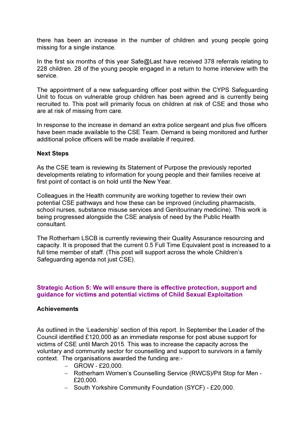there has been an increase in the number of children and young people going missing for a single instance.

In the first six months of this year Safe@Last have received 378 referrals relating to 228 children. 28 of the young people engaged in a return to home interview with the service.

The appointment of a new safeguarding officer post within the CYPS Safeguarding Unit to focus on vulnerable group children has been agreed and is currently being recruited to. This post will primarily focus on children at risk of CSE and those who are at risk of missing from care.

In response to the increase in demand an extra police sergeant and plus five officers have been made available to the CSE Team. Demand is being monitored and further additional police officers will be made available if required.

#### Next Steps

As the CSE team is reviewing its Statement of Purpose the previously reported developments relating to information for young people and their families receive at first point of contact is on hold until the New Year.

Colleagues in the Health community are working together to review their own potential CSE pathways and how these can be improved (including pharmacists, school nurses, substance misuse services and Genitourinary medicine). This work is being progressed alongside the CSE analysis of need by the Public Health consultant.

The Rotherham LSCB is currently reviewing their Quality Assurance resourcing and capacity. It is proposed that the current 0.5 Full Time Equivalent post is increased to a full time member of staff. (This post will support across the whole Children's Safeguarding agenda not just CSE).

#### Strategic Action 5: We will ensure there is effective protection, support and guidance for victims and potential victims of Child Sexual Exploitation

#### **Achievements**

As outlined in the 'Leadership' section of this report. In September the Leader of the Council identified £120,000 as an immediate response for post abuse support for victims of CSE until March 2015. This was to increase the capacity across the voluntary and community sector for counselling and support to survivors in a family context. The organisations awarded the funding are:-

- − GROW £20,000.
- − Rotherham Women's Counselling Service (RWCS)/Pit Stop for Men £20,000.
- − South Yorkshire Community Foundation (SYCF) £20,000.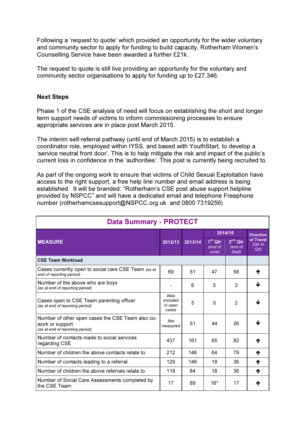Following a 'request to quote' which provided an opportunity for the wider voluntary and community sector to apply for funding to build capacity, Rotherham Women's Counselling Service have been awarded a further £21k.

The request to quote is still live providing an opportunity for the voluntary and community sector organisations to apply for funding up to £27,346.

#### Next Steps

Phase 1 of the CSE analysis of need will focus on establishing the short and longer term support needs of victims to inform commissioning processes to ensure appropriate services are in place post March 2015.

The interim self-referral pathway (until end of March 2015) is to establish a coordinator role, employed within IYSS, and based with YouthStart, to develop a 'service neutral front door'. This is to help mitigate the risk and impact of the public's current loss in confidence in the 'authorities'. This post is currently being recruited to.

As part of the ongoing work to ensure that victims of Child Sexual Exploitation have access to the right support, a free help line number and email address is being established. It will be branded: "Rotherham's CSE post abuse support helpline provided by NSPCC" and will have a dedicated email and telephone Freephone number (rotherhamcsesupport@NSPCC.org.uk and 0800 7319256)

| <b>Data Summary - PROTECT</b>                                                                          |                                     |         |                               |                                  |                               |
|--------------------------------------------------------------------------------------------------------|-------------------------------------|---------|-------------------------------|----------------------------------|-------------------------------|
|                                                                                                        |                                     |         | 2014/15                       |                                  | <b>Direction</b>              |
| <b>MEASURE</b>                                                                                         | 2012/13                             | 2013/14 | $1st$ Qtr<br>(end of<br>June) | $2^{na}$ Qtr<br>(end of<br>Sept) | of Travel<br>$Qtr$ to<br>Qtr) |
| <b>CSE Team Workload</b>                                                                               |                                     |         |                               |                                  |                               |
| Cases currently open to social care CSE Team (as at<br>end of reporting period)                        | 69                                  | 51      | 47                            | 58                               | Ϋ                             |
| Number of the above who are boys<br>(as at end of reporting period)                                    |                                     | 6       | 5                             | 3                                | J                             |
| Cases open to CSE Team parenting officer<br>(as at end of reporting period)                            | Was<br>included<br>in open<br>cases | 5       | 5                             | $\overline{2}$                   |                               |
| Number of other open cases the CSE Team also co-<br>work or support<br>(as at end of reporting period) | <b>Not</b><br>measured              | 51      | 44                            | 26                               |                               |
| Number of contacts made to social services<br>regarding CSE                                            | 437                                 | 161     | 65                            | 82                               | Т                             |
| Number of children the above contacts relate to                                                        | 212                                 | 146     | 64                            | 79                               | ₼                             |
| Number of contacts leading to a referral                                                               | 129                                 | 146     | 18                            | 36                               | ₼                             |
| Number of children the above referrals relate to                                                       | 119                                 | 84      | 18                            | 36                               | ₼                             |
| Number of Social Care Assessments completed by<br>the CSE Team                                         | 17                                  | 89      | $16*$                         | 17                               |                               |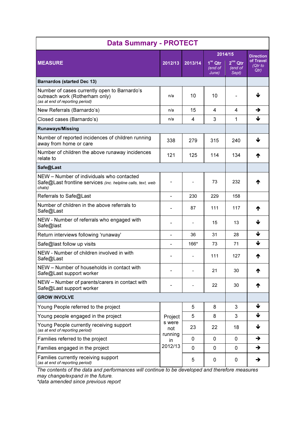| <b>Data Summary - PROTECT</b>                                                                                       |                          |             |                               |                               |                               |
|---------------------------------------------------------------------------------------------------------------------|--------------------------|-------------|-------------------------------|-------------------------------|-------------------------------|
|                                                                                                                     |                          |             |                               | 2014/15                       | <b>Direction</b>              |
| <b>MEASURE</b>                                                                                                      | 2012/13                  | 2013/14     | $1st$ Qtr<br>(end of<br>June) | $2nd$ Qtr<br>(end of<br>Sept) | of Travel<br>$Qtr$ to<br>Qtr) |
| <b>Barnardos (started Dec 13)</b>                                                                                   |                          |             |                               |                               |                               |
| Number of cases currently open to Barnardo's<br>outreach work (Rotherham only)<br>(as at end of reporting period)   | n/a                      | 10          | 10                            |                               | ⅎ                             |
| New Referrals (Barnardo's)                                                                                          | n/a                      | 15          | 4                             | 4                             | →                             |
| Closed cases (Barnardo's)                                                                                           | n/a                      | 4           | 3                             | 1                             | ↓                             |
| <b>Runaways/Missing</b>                                                                                             |                          |             |                               |                               |                               |
| Number of reported incidences of children running<br>away from home or care                                         | 338                      | 279         | 315                           | 240                           | J                             |
| Number of children the above runaway incidences<br>relate to                                                        | 121                      | 125         | 114                           | 134                           | ₼                             |
| Safe@Last                                                                                                           |                          |             |                               |                               |                               |
| NEW - Number of individuals who contacted<br>Safe@Last frontline services (inc. helpline calls, text, web<br>chats) | $\overline{\phantom{0}}$ |             | 73                            | 232                           | Ϋ                             |
| Referrals to Safe@Last                                                                                              | $\overline{\phantom{a}}$ | 230         | 229                           | 158                           |                               |
| Number of children in the above referrals to<br>Safe@Last                                                           |                          | 87          | 111                           | 117                           | Ϋ                             |
| NEW - Number of referrals who engaged with<br>Safe@last                                                             |                          |             | 15                            | 13                            | ↓                             |
| Return interviews following 'runaway'                                                                               |                          | 36          | 31                            | 28                            | ↓                             |
| Safe@last follow up visits                                                                                          |                          | 166*        | 73                            | 71                            | ↓                             |
| NEW - Number of children involved in with<br>Safe@Last                                                              |                          |             | 111                           | 127                           | ₼                             |
| NEW - Number of households in contact with<br>Safe@Last support worker                                              |                          |             | 21                            | 30                            | Ϋ                             |
| NEW - Number of parents/carers in contact with<br>Safe@Last support worker                                          |                          |             | 22                            | 30                            | ↑                             |
| <b>GROW INVOLVE</b>                                                                                                 |                          |             |                               |                               |                               |
| Young People referred to the project                                                                                |                          | 5           | 8                             | 3                             | ↓                             |
| Young people engaged in the project                                                                                 | Project                  | 5           | 8                             | 3                             | ↓                             |
| Young People currently receiving support<br>(as at end of reporting period)                                         | s were<br>not<br>running | 23          | 22                            | 18                            | ↓                             |
| Families referred to the project                                                                                    | in                       | 0           | $\mathbf 0$                   | $\mathbf 0$                   | $\rightarrow$                 |
| Families engaged in the project                                                                                     | 2012/13                  | $\mathbf 0$ | $\mathbf 0$                   | $\mathbf{0}$                  | $\rightarrow$                 |
| Families currently receiving support<br>(as at end of reporting period)                                             |                          | 5           | 0                             | 0                             | →                             |

The contents of the data and performances will continue to be developed and therefore measures may change/expand in the future.

\*data amended since previous report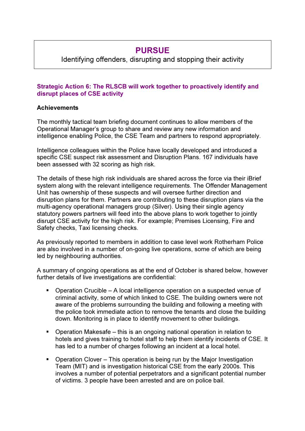# PURSUE

Identifying offenders, disrupting and stopping their activity

# Strategic Action 6: The RLSCB will work together to proactively identify and disrupt places of CSE activity

## **Achievements**

The monthly tactical team briefing document continues to allow members of the Operational Manager's group to share and review any new information and intelligence enabling Police, the CSE Team and partners to respond appropriately.

Intelligence colleagues within the Police have locally developed and introduced a specific CSE suspect risk assessment and Disruption Plans. 167 individuals have been assessed with 32 scoring as high risk.

The details of these high risk individuals are shared across the force via their iBrief system along with the relevant intelligence requirements. The Offender Management Unit has ownership of these suspects and will oversee further direction and disruption plans for them. Partners are contributing to these disruption plans via the multi-agency operational managers group (Silver). Using their single agency statutory powers partners will feed into the above plans to work together to jointly disrupt CSE activity for the high risk. For example; Premises Licensing, Fire and Safety checks, Taxi licensing checks.

As previously reported to members in addition to case level work Rotherham Police are also involved in a number of on-going live operations, some of which are being led by neighbouring authorities.

A summary of ongoing operations as at the end of October is shared below, however further details of live investigations are confidential:

- Operation Crucible A local intelligence operation on a suspected venue of criminal activity, some of which linked to CSE. The building owners were not aware of the problems surrounding the building and following a meeting with the police took immediate action to remove the tenants and close the building down. Monitoring is in place to identify movement to other buildings.
- Operation Makesafe this is an ongoing national operation in relation to hotels and gives training to hotel staff to help them identify incidents of CSE. It has led to a number of charges following an incident at a local hotel.
- Operation Clover This operation is being run by the Major Investigation Team (MIT) and is investigation historical CSE from the early 2000s. This involves a number of potential perpetrators and a significant potential number of victims. 3 people have been arrested and are on police bail.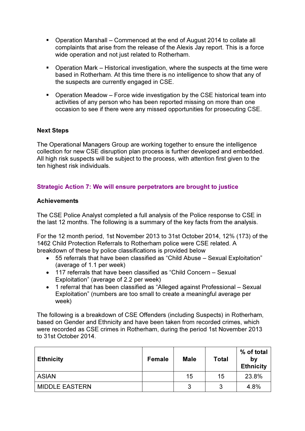- Operation Marshall Commenced at the end of August 2014 to collate all complaints that arise from the release of the Alexis Jay report. This is a force wide operation and not just related to Rotherham.
- Operation Mark Historical investigation, where the suspects at the time were based in Rotherham. At this time there is no intelligence to show that any of the suspects are currently engaged in CSE.
- Operation Meadow Force wide investigation by the CSE historical team into activities of any person who has been reported missing on more than one occasion to see if there were any missed opportunities for prosecuting CSE.

## Next Steps

The Operational Managers Group are working together to ensure the intelligence collection for new CSE disruption plan process is further developed and embedded. All high risk suspects will be subject to the process, with attention first given to the ten highest risk individuals.

## Strategic Action 7: We will ensure perpetrators are brought to justice

#### **Achievements**

The CSE Police Analyst completed a full analysis of the Police response to CSE in the last 12 months. The following is a summary of the key facts from the analysis.

For the 12 month period, 1st November 2013 to 31st October 2014, 12% (173) of the 1462 Child Protection Referrals to Rotherham police were CSE related. A breakdown of these by police classifications is provided below

- 55 referrals that have been classified as "Child Abuse Sexual Exploitation" (average of 1.1 per week)
- 117 referrals that have been classified as "Child Concern Sexual Exploitation" (average of 2.2 per week)
- 1 referral that has been classified as "Alleged against Professional Sexual Exploitation" (numbers are too small to create a meaningful average per week)

The following is a breakdown of CSE Offenders (including Suspects) in Rotherham, based on Gender and Ethnicity and have been taken from recorded crimes, which were recorded as CSE crimes in Rotherham, during the period 1st November 2013 to 31st October 2014.

| <b>Ethnicity</b>      | <b>Female</b> | <b>Male</b> | <b>Total</b> | % of total<br>by<br><b>Ethnicity</b> |
|-----------------------|---------------|-------------|--------------|--------------------------------------|
| <b>ASIAN</b>          |               | 15          | 15           | 23.8%                                |
| <b>MIDDLE EASTERN</b> |               | ર<br>ت      | າ            | 4.8%                                 |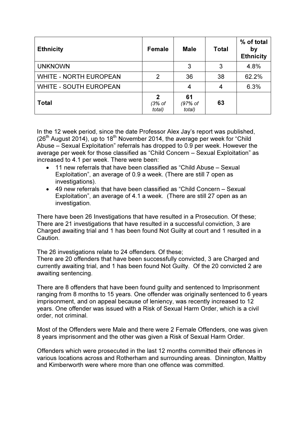| <b>Ethnicity</b>              | <b>Female</b>                    | <b>Male</b>             | Total | % of total<br>by<br><b>Ethnicity</b> |
|-------------------------------|----------------------------------|-------------------------|-------|--------------------------------------|
| <b>UNKNOWN</b>                |                                  | 3                       | 3     | 4.8%                                 |
| <b>WHITE - NORTH EUROPEAN</b> | 2                                | 36                      | 38    | 62.2%                                |
| <b>WHITE - SOUTH EUROPEAN</b> |                                  | 4                       | 4     | 6.3%                                 |
| <b>Total</b>                  | $\mathbf{2}$<br>(3% of<br>total) | 61<br>(97% of<br>total) | 63    |                                      |

In the 12 week period, since the date Professor Alex Jay's report was published,  $(26<sup>th</sup>$  August 2014), up to 18<sup>th</sup> November 2014, the average per week for "Child" Abuse – Sexual Exploitation" referrals has dropped to 0.9 per week. However the average per week for those classified as "Child Concern – Sexual Exploitation" as increased to 4.1 per week. There were been:

- 11 new referrals that have been classified as "Child Abuse Sexual Exploitation", an average of 0.9 a week. (There are still 7 open as investigations).
- 49 new referrals that have been classified as "Child Concern Sexual Exploitation", an average of 4.1 a week. (There are still 27 open as an investigation.

There have been 26 Investigations that have resulted in a Prosecution. Of these; There are 21 investigations that have resulted in a successful conviction, 3 are Charged awaiting trial and 1 has been found Not Guilty at court and 1 resulted in a Caution.

The 26 investigations relate to 24 offenders. Of these;

There are 20 offenders that have been successfully convicted, 3 are Charged and currently awaiting trial, and 1 has been found Not Guilty. Of the 20 convicted 2 are awaiting sentencing.

There are 8 offenders that have been found guilty and sentenced to Imprisonment ranging from 8 months to 15 years. One offender was originally sentenced to 6 years imprisonment, and on appeal because of leniency, was recently increased to 12 years. One offender was issued with a Risk of Sexual Harm Order, which is a civil order, not criminal.

Most of the Offenders were Male and there were 2 Female Offenders, one was given 8 years imprisonment and the other was given a Risk of Sexual Harm Order.

Offenders which were prosecuted in the last 12 months committed their offences in various locations across and Rotherham and surrounding areas. Dinnington, Maltby and Kimberworth were where more than one offence was committed.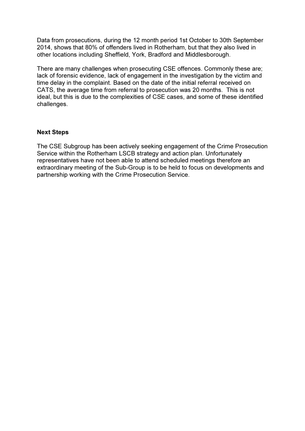Data from prosecutions, during the 12 month period 1st October to 30th September 2014, shows that 80% of offenders lived in Rotherham, but that they also lived in other locations including Sheffield, York, Bradford and Middlesborough.

There are many challenges when prosecuting CSE offences. Commonly these are; lack of forensic evidence, lack of engagement in the investigation by the victim and time delay in the complaint. Based on the date of the initial referral received on CATS, the average time from referral to prosecution was 20 months. This is not ideal, but this is due to the complexities of CSE cases, and some of these identified challenges.

#### Next Steps

The CSE Subgroup has been actively seeking engagement of the Crime Prosecution Service within the Rotherham LSCB strategy and action plan. Unfortunately representatives have not been able to attend scheduled meetings therefore an extraordinary meeting of the Sub-Group is to be held to focus on developments and partnership working with the Crime Prosecution Service.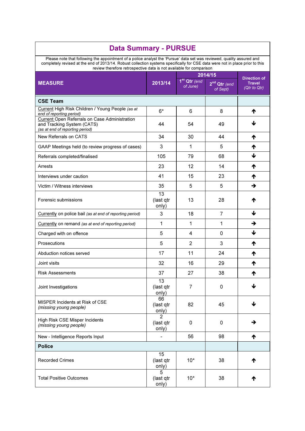| <b>Data Summary - PURSUE</b>                                                                                                                                                                                                                                                                                                   |                                      |                                      |                                                 |                                                      |
|--------------------------------------------------------------------------------------------------------------------------------------------------------------------------------------------------------------------------------------------------------------------------------------------------------------------------------|--------------------------------------|--------------------------------------|-------------------------------------------------|------------------------------------------------------|
| Please note that following the appointment of a police analyst the 'Pursue' data set was reviewed, quality assured and<br>completely revised at the end of 2013/14. Robust collection systems specifically for CSE data were not in place prior to this<br>review therefore retrospective data is not available for comparison |                                      |                                      |                                                 |                                                      |
| <b>MEASURE</b>                                                                                                                                                                                                                                                                                                                 | 2013/14                              | 1 <sup>st</sup> Qtr (end<br>of June) | 2014/15<br>2 <sup>nd</sup> Qtr (end<br>of Sept) | <b>Direction of</b><br><b>Travel</b><br>(Qtr to Qtr) |
| <b>CSE Team</b>                                                                                                                                                                                                                                                                                                                |                                      |                                      |                                                 |                                                      |
| Current High Risk Children / Young People (as at<br>end of reporting period)                                                                                                                                                                                                                                                   | $6*$                                 | 6                                    | 8                                               | ₼                                                    |
| Current Open Referrals on Case Administration<br>and Tracking System (CATS)<br>(as at end of reporting period)                                                                                                                                                                                                                 | 44                                   | 54                                   | 49                                              |                                                      |
| New Referrals on CATS                                                                                                                                                                                                                                                                                                          | 34                                   | 30                                   | 44                                              | ₼                                                    |
| GAAP Meetings held (to review progress of cases)                                                                                                                                                                                                                                                                               | 3                                    | 1                                    | 5                                               | ₼                                                    |
| Referrals completed/finalised                                                                                                                                                                                                                                                                                                  | 105                                  | 79                                   | 68                                              | J                                                    |
| Arrests                                                                                                                                                                                                                                                                                                                        | 23                                   | 12                                   | 14                                              | ₼                                                    |
| Interviews under caution                                                                                                                                                                                                                                                                                                       | 41                                   | 15                                   | 23                                              | ₼                                                    |
| Victim / Witness interviews                                                                                                                                                                                                                                                                                                    | 35                                   | 5                                    | 5                                               | →                                                    |
| Forensic submissions                                                                                                                                                                                                                                                                                                           | 13<br>(last qtr<br>only)             | 13                                   | 28                                              | Т                                                    |
| Currently on police bail (as at end of reporting period)                                                                                                                                                                                                                                                                       | 3                                    | 18                                   | $\overline{7}$                                  | ↓                                                    |
| Currently on remand (as at end of reporting period)                                                                                                                                                                                                                                                                            | 1                                    | 1                                    | 1                                               | →                                                    |
| Charged with on offence                                                                                                                                                                                                                                                                                                        | 5                                    | 4                                    | 0                                               | ↓                                                    |
| Prosecutions                                                                                                                                                                                                                                                                                                                   | 5                                    | 2                                    | 3                                               | ₼                                                    |
| Abduction notices served                                                                                                                                                                                                                                                                                                       | 17                                   | 11                                   | 24                                              | ₼                                                    |
| Joint visits                                                                                                                                                                                                                                                                                                                   | 32                                   | 16                                   | 29                                              | ₼                                                    |
| <b>Risk Assessments</b>                                                                                                                                                                                                                                                                                                        | 37                                   | 27                                   | 38                                              | ተ                                                    |
| Joint Investigations                                                                                                                                                                                                                                                                                                           | 13<br>(last qtr<br>only)             | 7                                    | 0                                               | ↓                                                    |
| MISPER Incidents at Risk of CSE<br>(missing young people)                                                                                                                                                                                                                                                                      | 66<br>(last qtr<br>only)             | 82                                   | 45                                              | ↓                                                    |
| High Risk CSE Misper Incidents<br>(missing young people)                                                                                                                                                                                                                                                                       | $\overline{2}$<br>(last qtr<br>only) | 0                                    | 0                                               | →                                                    |
| New - Intelligence Reports Input                                                                                                                                                                                                                                                                                               |                                      | 56                                   | 98                                              | ↑                                                    |
| <b>Police</b>                                                                                                                                                                                                                                                                                                                  |                                      |                                      |                                                 |                                                      |
| <b>Recorded Crimes</b>                                                                                                                                                                                                                                                                                                         | 15<br>(last qtr<br>only)             | $10*$                                | 38                                              | ↑                                                    |
| <b>Total Positive Outcomes</b>                                                                                                                                                                                                                                                                                                 | 5<br>(last qtr<br>only)              | $10*$                                | 38                                              | ↑                                                    |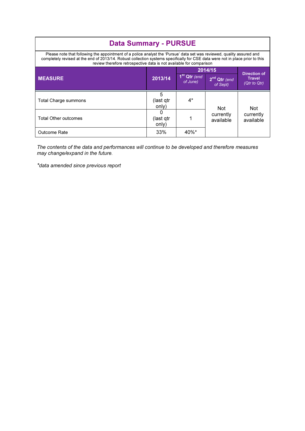| <b>Data Summary - PURSUE</b>                                                                                                                                                                                                                                                                                                   |                                    |                                      |                                       |                                                      |  |
|--------------------------------------------------------------------------------------------------------------------------------------------------------------------------------------------------------------------------------------------------------------------------------------------------------------------------------|------------------------------------|--------------------------------------|---------------------------------------|------------------------------------------------------|--|
| Please note that following the appointment of a police analyst the 'Pursue' data set was reviewed, quality assured and<br>completely revised at the end of 2013/14. Robust collection systems specifically for CSE data were not in place prior to this<br>review therefore retrospective data is not available for comparison |                                    |                                      |                                       |                                                      |  |
|                                                                                                                                                                                                                                                                                                                                |                                    |                                      | 2014/15                               |                                                      |  |
| <b>MEASURE</b>                                                                                                                                                                                                                                                                                                                 | 2013/14                            | 1 <sup>st</sup> Qtr (end<br>of June) | 2 <sup>nd</sup> Qtr (end)<br>of Sept) | <b>Direction of</b><br><b>Travel</b><br>(Qtr to Qtr) |  |
| Total Charge summons                                                                                                                                                                                                                                                                                                           | 5<br>(last qtr<br>only)            | $4^*$                                | <b>Not</b>                            | Not.                                                 |  |
| <b>Total Other outcomes</b>                                                                                                                                                                                                                                                                                                    | <sup>0</sup><br>(last qtr<br>only) |                                      | currently<br>available                | currently<br>available                               |  |
| Outcome Rate                                                                                                                                                                                                                                                                                                                   | 33%                                | $40\%$ *                             |                                       |                                                      |  |

The contents of the data and performances will continue to be developed and therefore measures may change/expand in the future.

\*data amended since previous report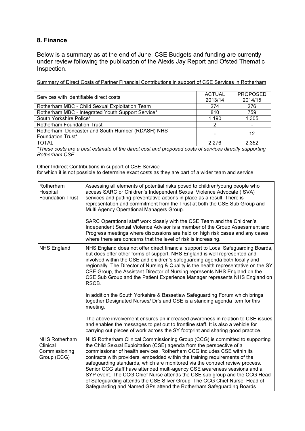## 8. Finance

Below is a summary as at the end of June. CSE Budgets and funding are currently under review following the publication of the Alexis Jay Report and Ofsted Thematic Inspection.

Summary of Direct Costs of Partner Financial Contributions in support of CSE Services in Rotherham

| Services with identifiable direct costs           | <b>ACTUAL</b> | <b>PROPOSED</b> |
|---------------------------------------------------|---------------|-----------------|
|                                                   | 2013/14       | 2014/15         |
| Rotherham MBC - Child Sexual Exploitation Team    | 274           | 276             |
| Rotherham MBC - Integrated Youth Support Service* | 810           | 759             |
| South Yorkshire Police*                           | 1,190         | 1,305           |
| <b>Rotherham Foundation Trust</b>                 |               |                 |
| Rotherham, Doncaster and South Humber (RDASH) NHS |               | 12              |
| Foundation Trust*                                 |               |                 |
| <b>TOTAL</b>                                      | 2.276         | 2,352           |

\*These costs are a best estimate of the direct cost and proposed costs of services directly supporting Rotherham CSE

Other Indirect Contributions in support of CSE Service

for which it is not possible to determine exact costs as they are part of a wider team and service

| Rotherham<br>Hospital<br><b>Foundation Trust</b>                 | Assessing all elements of potential risks posed to children/young people who<br>access SARC or Children's Independent Sexual Violence Advocate (ISVA)<br>services and putting preventative actions in place as a result. There is<br>representation and commitment from the Trust at both the CSE Sub Group and<br>Multi Agency Operational Managers Group.                                                                                                                                                                                                                                                                                                                                               |
|------------------------------------------------------------------|-----------------------------------------------------------------------------------------------------------------------------------------------------------------------------------------------------------------------------------------------------------------------------------------------------------------------------------------------------------------------------------------------------------------------------------------------------------------------------------------------------------------------------------------------------------------------------------------------------------------------------------------------------------------------------------------------------------|
|                                                                  | SARC Operational staff work closely with the CSE Team and the Children's<br>Independent Sexual Violence Advisor is a member of the Group Assessment and<br>Progress meetings where discussions are held on high risk cases and any cases<br>where there are concerns that the level of risk is increasing.                                                                                                                                                                                                                                                                                                                                                                                                |
| <b>NHS England</b>                                               | NHS England does not offer direct financial support to Local Safeguarding Boards,<br>but does offer other forms of support. NHS England is well represented and<br>involved within the CSE and children's safeguarding agenda both locally and<br>regionally. The Director of Nursing & Quality is the health representative on the SY<br>CSE Group, the Assistant Director of Nursing represents NHS England on the<br>CSE Sub Group and the Patient Experience Manager represents NHS England on<br>RSCB.                                                                                                                                                                                               |
|                                                                  | In addition the South Yorkshire & Bassetlaw Safeguarding Forum which brings<br>together Designated Nurses/ Dr's and CSE is a standing agenda item for this<br>meeting.                                                                                                                                                                                                                                                                                                                                                                                                                                                                                                                                    |
|                                                                  | The above involvement ensures an increased awareness in relation to CSE issues<br>and enables the messages to get out to frontline staff. It is also a vehicle for<br>carrying out pieces of work across the SY footprint and sharing good practice.                                                                                                                                                                                                                                                                                                                                                                                                                                                      |
| <b>NHS Rotherham</b><br>Clinical<br>Commissioning<br>Group (CCG) | NHS Rotherham Clinical Commissioning Group (CCG) is committed to supporting<br>the Child Sexual Exploitation (CSE) agenda from the perspective of a<br>commissioner of health services. Rotherham CCG includes CSE within its<br>contracts with providers, embedded within the training requirements of the<br>safeguarding standards, which are monitored via the contract review process.<br>Senior CCG staff have attended multi-agency CSE awareness sessions and a<br>SYP event. The CCG Chief Nurse attends the CSE sub group and the CCG Head<br>of Safeguarding attends the CSE Silver Group. The CCG Chief Nurse, Head of<br>Safeguarding and Named GPs attend the Rotherham Safeguarding Boards |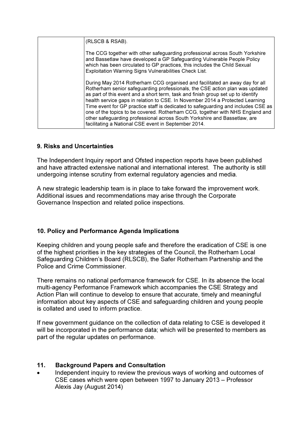| (RLSCB & RSAB).                                                                                                                                                                                                                                                                                                                                                                                                                                                                                                                                                                                                                             |
|---------------------------------------------------------------------------------------------------------------------------------------------------------------------------------------------------------------------------------------------------------------------------------------------------------------------------------------------------------------------------------------------------------------------------------------------------------------------------------------------------------------------------------------------------------------------------------------------------------------------------------------------|
| The CCG together with other safeguarding professional across South Yorkshire<br>and Bassetlaw have developed a GP Safeguarding Vulnerable People Policy<br>which has been circulated to GP practices, this includes the Child Sexual<br>Exploitation Warning Signs Vulnerabilities Check List.                                                                                                                                                                                                                                                                                                                                              |
| During May 2014 Rotherham CCG organised and facilitated an away day for all<br>Rotherham senior safeguarding professionals, the CSE action plan was updated<br>as part of this event and a short term, task and finish group set up to identify<br>health service gaps in relation to CSE. In November 2014 a Protected Learning<br>Time event for GP practice staff is dedicated to safeguarding and includes CSE as<br>one of the topics to be covered. Rotherham CCG, together with NHS England and<br>other safeguarding professional across South Yorkshire and Bassetlaw, are<br>facilitating a National CSE event in September 2014. |

# 9. Risks and Uncertainties

The Independent Inquiry report and Ofsted inspection reports have been published and have attracted extensive national and international interest. The authority is still undergoing intense scrutiny from external regulatory agencies and media.

A new strategic leadership team is in place to take forward the improvement work. Additional issues and recommendations may arise through the Corporate Governance Inspection and related police inspections.

# 10. Policy and Performance Agenda Implications

Keeping children and young people safe and therefore the eradication of CSE is one of the highest priorities in the key strategies of the Council, the Rotherham Local Safeguarding Children's Board (RLSCB), the Safer Rotherham Partnership and the Police and Crime Commissioner.

There remains no national performance framework for CSE. In its absence the local multi-agency Performance Framework which accompanies the CSE Strategy and Action Plan will continue to develop to ensure that accurate, timely and meaningful information about key aspects of CSE and safeguarding children and young people is collated and used to inform practice.

If new government guidance on the collection of data relating to CSE is developed it will be incorporated in the performance data; which will be presented to members as part of the regular updates on performance.

# 11. Background Papers and Consultation

Independent inquiry to review the previous ways of working and outcomes of CSE cases which were open between 1997 to January 2013 – Professor Alexis Jay (August 2014)